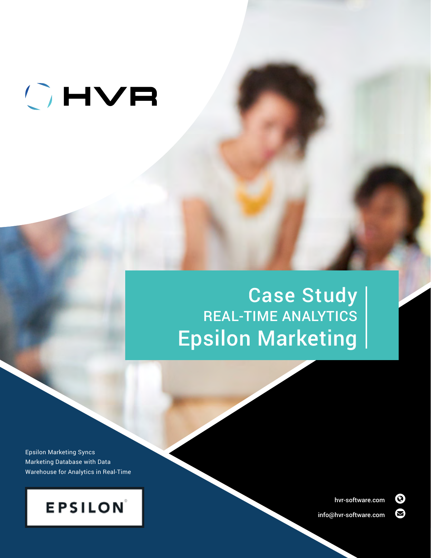# OHVR

## Case Study REAL-TIME ANALYTICS Epsilon Marketing

Epsilon Marketing Syncs Marketing Database with Data Warehouse for Analytics in Real-Time



[hvr-software.com](https://www.hvr-software.com/) 

[info@hvr-software.com](mailto:info%40hvr-software.com?subject=)

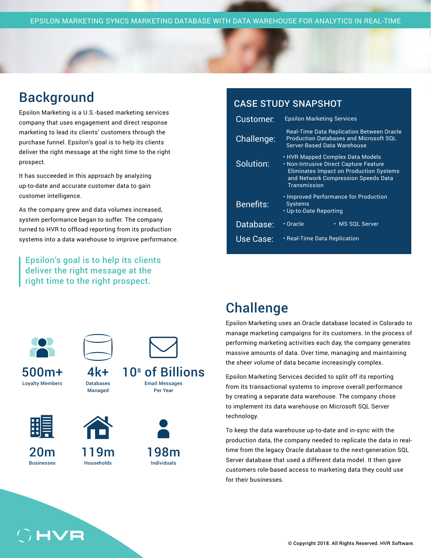#### **Background**

Epsilon Marketing is a U.S.-based marketing services company that uses engagement and direct response marketing to lead its clients' customers through the purchase funnel. Epsilon's goal is to help its clients deliver the right message at the right time to the right prospect.

It has succeeded in this approach by analyzing up-to-date and accurate customer data to gain customer intelligence.

As the company grew and data volumes increased, system performance began to suffer. The company turned to HVR to offload reporting from its production systems into a data warehouse to improve performance.

Epsilon's goal is to help its clients deliver the right message at the right time to the right prospect.

#### CASE STUDY SNAPSHOT

| Customer:        | <b>Epsilon Marketing Services</b>                                                                                                                                                   |
|------------------|-------------------------------------------------------------------------------------------------------------------------------------------------------------------------------------|
| Challenge:       | <b>Real-Time Data Replication Between Oracle</b><br><b>Production Databases and Microsoft SQL</b><br>Server-Based Data Warehouse                                                    |
| Solution:        | • HVR Mapped Complex Data Models<br>• Non-Intrusive Direct Capture Feature<br><b>Eliminates Impact on Production Systems</b><br>and Network Compression Speeds Data<br>Transmission |
| <b>Benefits:</b> | <b>· Improved Performance for Production</b><br><b>Systems</b><br>• Up-to-Date Reporting                                                                                            |
| Database:        | $\overline{\cdot}$ Oracle<br>• MS SQL Server                                                                                                                                        |
| Use Case:        | • Real-Time Data Replication                                                                                                                                                        |



500m+ Loyalty Members



Databases Managed



20m Businesses

**HVF** 



119m Households



10<sup>s</sup> of Billions Email Messages

Per Year



### **Challenge**

Epsilon Marketing uses an Oracle database located in Colorado to manage marketing campaigns for its customers. In the process of performing marketing activities each day, the company generates massive amounts of data. Over time, managing and maintaining the sheer volume of data became increasingly complex.

Epsilon Marketing Services decided to split off its reporting from its transactional systems to improve overall performance by creating a separate data warehouse. The company chose to implement its data warehouse on Microsoft SQL Server technology.

To keep the data warehouse up-to-date and in-sync with the production data, the company needed to replicate the data in realtime from the legacy Oracle database to the next-generation SQL Server database that used a different data model. It then gave customers role-based access to marketing data they could use for their businesses.